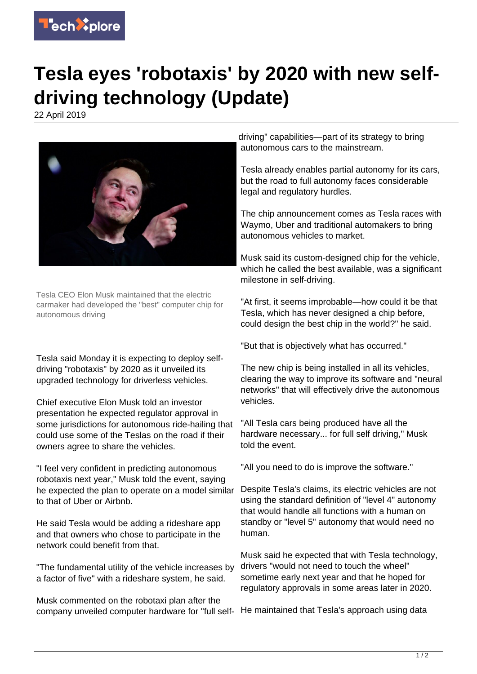

## **Tesla eyes 'robotaxis' by 2020 with new selfdriving technology (Update)**

22 April 2019



Tesla CEO Elon Musk maintained that the electric carmaker had developed the "best" computer chip for autonomous driving

Tesla said Monday it is expecting to deploy selfdriving "robotaxis" by 2020 as it unveiled its upgraded technology for driverless vehicles.

Chief executive Elon Musk told an investor presentation he expected regulator approval in some jurisdictions for autonomous ride-hailing that could use some of the Teslas on the road if their owners agree to share the vehicles.

"I feel very confident in predicting autonomous robotaxis next year," Musk told the event, saying he expected the plan to operate on a model similar to that of Uber or Airbnb.

He said Tesla would be adding a rideshare app and that owners who chose to participate in the network could benefit from that.

"The fundamental utility of the vehicle increases by a factor of five" with a rideshare system, he said.

Musk commented on the robotaxi plan after the company unveiled computer hardware for "full self-He maintained that Tesla's approach using data

driving" capabilities—part of its strategy to bring autonomous cars to the mainstream.

Tesla already enables partial autonomy for its cars, but the road to full autonomy faces considerable legal and regulatory hurdles.

The chip announcement comes as Tesla races with Waymo, Uber and traditional automakers to bring autonomous vehicles to market.

Musk said its custom-designed chip for the vehicle, which he called the best available, was a significant milestone in self-driving.

"At first, it seems improbable—how could it be that Tesla, which has never designed a chip before, could design the best chip in the world?" he said.

"But that is objectively what has occurred."

The new chip is being installed in all its vehicles, clearing the way to improve its software and "neural networks" that will effectively drive the autonomous vehicles.

"All Tesla cars being produced have all the hardware necessary... for full self driving," Musk told the event.

"All you need to do is improve the software."

Despite Tesla's claims, its electric vehicles are not using the standard definition of "level 4" autonomy that would handle all functions with a human on standby or "level 5" autonomy that would need no human.

Musk said he expected that with Tesla technology, drivers "would not need to touch the wheel" sometime early next year and that he hoped for regulatory approvals in some areas later in 2020.